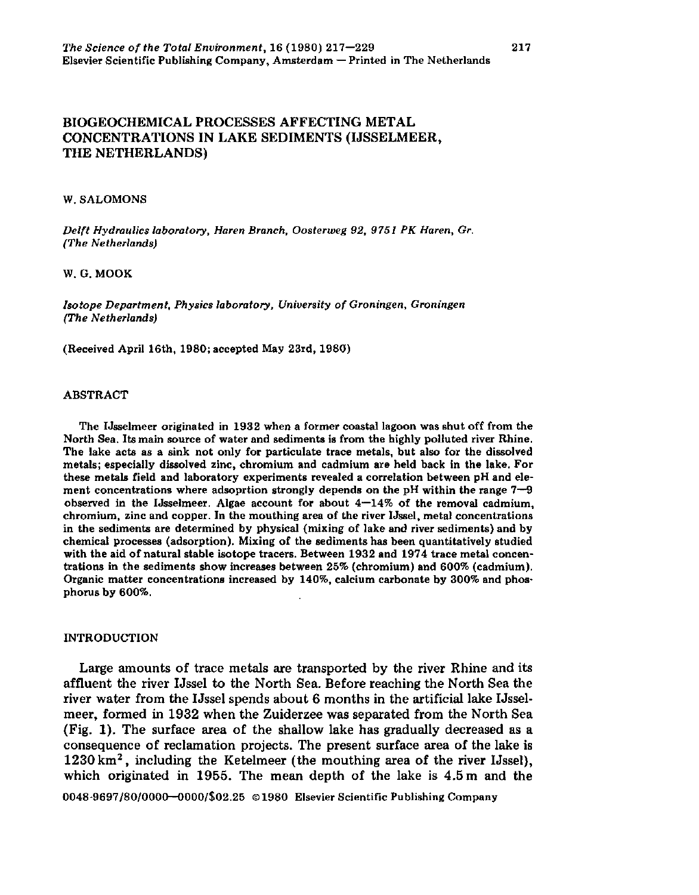217

# BIOGEOCHEMICAL PROCESSES AFFECTING METAL CONCENTRATIONS IN LAKE SEDIMENTS (IJSSELMEER, THE NETHERLANDS)

#### W. SALOMONS

*Delft Hydraulics laboratory, Haren Branch, Oosterweg 92, 9751 PK Haren, Gr. (The Netherlands)* 

#### W. G. MOOK

*Isotope Department, Physics laboratory. University of Groningen, Groningen (The Netherlands)* 

(Received April 16th, 1980; accepted May 23rd, 1980)

#### ABSTRACT

The IJsselmeer originated in 1932 when a former coastal lagoon was shut off from the North Sea. Its main source of water and sediments is from the highly polluted river Rhine. The lake acts as a sink not only for particulate trace metals, but also for the dissolved metals; especially dissolved zinc, chromium and cadmium are held back in the lake. For these metals field and laboratory experiments revealed a correlation between pH and element concentrations where adsoprtion strongly depends on the pH within the range 7—9 observed in the IJsselmeer. Algae account for about  $4-14\%$  of the removal cadmium, chromium, zinc and copper. In the mouthing area of the river Ussel, metal concentrations in the sediments are determined by physical (mixing of lake and river sediments) and by chemical processes (adsorption). Mixing of the sediments has been quantitatively studied with the aid of natural stable isotope tracers. Between 1932 and 1974 trace metal concentrations in the sediments show increases between 25% (chromium) and 600% (cadmium). Organic matter concentrations increased by 140%, calcium carbonate by 300% and phosphorus by 600%.

#### INTRODUCTION

Large amounts of trace metals are transported by the river Rhine and its affluent the river Ussel to the North Sea. Before reaching the North Sea the river water from the Ussel spends about 6 months in the artificial lake IJsselmeer, formed in 1932 when the Zuiderzee was separated from the North Sea (Fig. 1). The surface area of the shallow lake has gradually decreased as a consequence of reclamation projects. The present surface area of the lake is  $1230 \mathrm{~km^2}$ , including the Ketelmeer (the mouthing area of the river l which originated in 1955. The mean depth of the lake is 4.5 m and the 0048-9697/80/0000—0000/S02.25 ©1980 Elsevier Scientific Publishing Company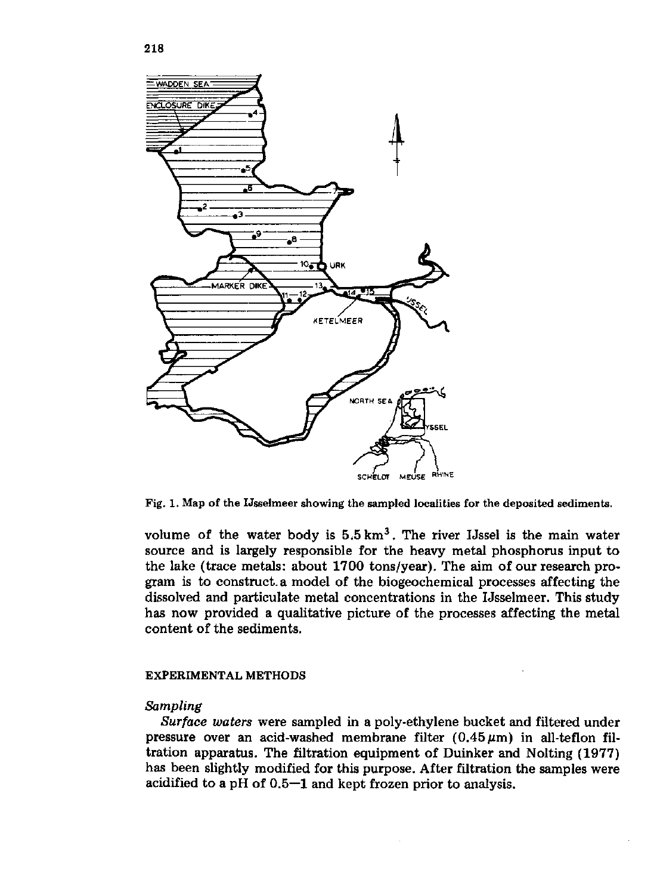

Fig. 1. Map of the IJsselmeer showing the sampled localities for the deposited sediments.

volume of the water body is  $5.5 \text{ km}^3$ . The river IJssel is the main source and is largely responsible for the heavy metal phosphorus input to the lake (trace metals: about 1700 tons/year). The aim of our research program is to construct, a model of the biogeochemical processes affecting the dissolved and particulate metal concentrations in the IJsselmeer. This study has now provided a qualitative picture of the processes affecting the metal content of the sediments.

### EXPERIMENTAL METHODS

### *Sampling*

*Surface waters* were sampled in a poly-ethylene bucket and filtered under pressure over an acid-washed membrane filter  $(0.45 \,\mu m)$  in all-teflon filtration apparatus. The filtration equipment of Duinker and Nolting (1977) has been slightly modified for this purpose. After filtration the samples were acidified to a pH of 0.5—1 and kept frozen prior to analysis.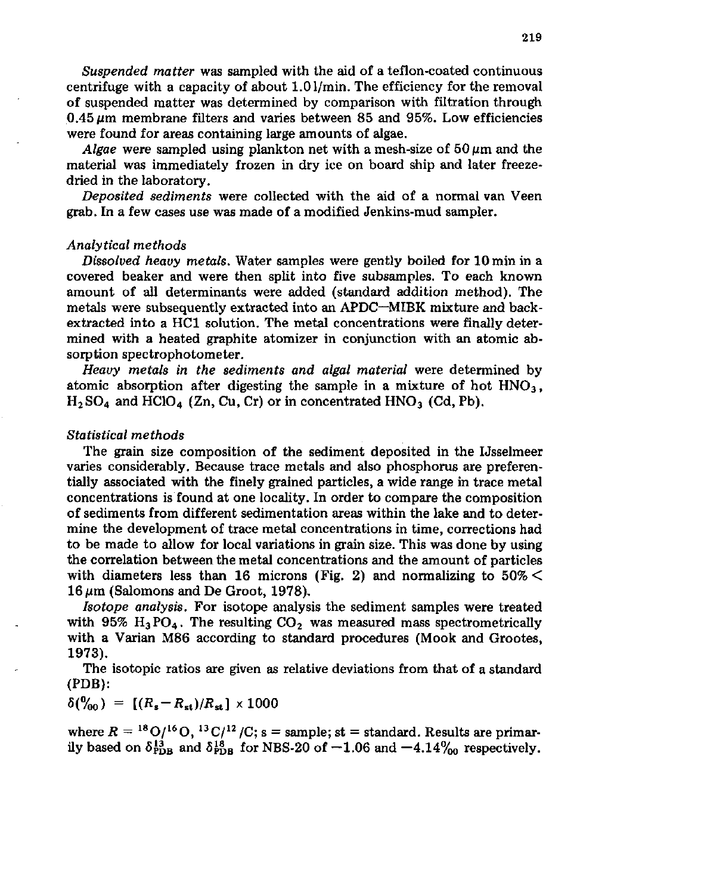*Suspended matter* was sampled with the aid of a teflon-coated continuous centrifuge with a capacity of about 1.01/min. The efficiency for the removal of suspended matter was determined by comparison with filtration through 0.45 *ßm* membrane filters and varies between 85 and 95%. Low efficiencies were found for areas containing large amounts of algae.

*Algae* were sampled using plankton net with a mesh-size of  $50 \mu m$  and the material was immediately frozen in dry ice on board ship and later freezedried in the laboratory.

*Deposited sediments* were collected with the aid of a normal van Veen grab. In a few cases use was made of a modified Jenkins-mud sampler.

### *Analytical methods*

*Dissolved heavy metals.* Water samples were gently boiled for 10 min in a covered beaker and were then split into five subsamples. To each known amount of all determinants were added (standard addition method). The metals were subsequently extracted into an APDC—MIBK mixture and backextracted into a HCl solution. The metal concentrations were finally determined with a heated graphite atomizer in conjunction with an atomic absorption spectrophotometer.

*Heavy metals in the sediments and algal material* were determined by atomic absorption after digesting the sample in a mixture of hot  $HNO<sub>3</sub>$ ,  $H<sub>2</sub>SO<sub>4</sub>$  and HClO<sub>4</sub> (Zn, Cu, Cr) or in concentrated HNO<sub>3</sub> (Cd, Pb).

### *Statistical methods*

The grain size composition of the sediment deposited in the IJsselmeer varies considerably. Because trace metals and also phosphorus are preferentially associated with the finely grained particles, a wide range in trace metal concentrations is found at one locality. In order to compare the composition of sediments from different sedimentation areas within the lake and to determine the development of trace metal concentrations in time, corrections had to be made to allow for local variations in grain size. This was done by using the correlation between the metal concentrations and the amount of particles with diameters less than 16 microns (Fig. 2) and normalizing to  $50\%$   $\leq$  $16 \mu m$  (Salomons and De Groot, 1978).

*Isotope analysis.* For isotope analysis the sediment samples were treated with 95%  $H_3PO_4$ . The resulting  $CO_2$  was measured mass spectrometrically with a Varian M86 according to standard procedures (Mook and Grootes, 1973).

The isotopic ratios are given as relative deviations from that of a standard (PDB):

$$
\delta(\%_0) = [(R_s - R_{st})/R_{st}] \times 1000
$$

where  $R = {}^{18}O/{}^{16}O$ ,  ${}^{13}C/{}^{12}$  /C; s = sample; st = standard. Results are ily based on  $\delta_{\text{PDB}}^{13}$  and  $\delta_{\text{PDB}}^{18}$  for NBS-20 of  $-1.06$  and  $-4.14\%$  respectively.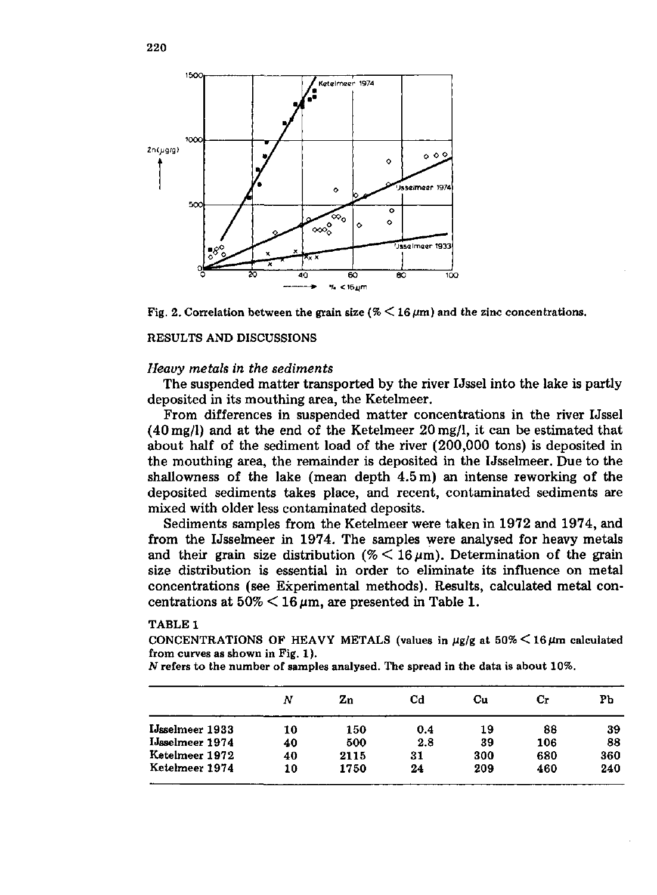

Fig. 2. Correlation between the grain size ( $\%$   $\leq$  16  $\mu$ m) and the zinc concentrations.

### RESULTS AND DISCUSSIONS

### *Heavy metals in the sediments*

The suspended matter transported by the river IJssel into the lake is partly deposited in its mouthing area, the Ketelmeer.

From differences in suspended matter concentrations in the river IJssel  $(40 \,\mathrm{mg/l})$  and at the end of the Ketelmeer  $20 \,\mathrm{mg/l}$ , it can be estimated that about half of the sediment load of the river (200,000 tons) is deposited in the mouthing area, the remainder is deposited in the Usselmeer. Due to the shallowness of the lake (mean depth 4.5 m) an intense reworking of the deposited sediments takes place, and recent, contaminated sediments are mixed with older less contaminated deposits.

Sediments samples from the Ketelmeer were taken in 1972 and 1974, and from the Usselmeer in 1974. The samples were analysed for heavy metals and their grain size distribution (%  $\leq$  16  $\mu$ m). Determination of the grain size distribution is essential in order to eliminate its influence on metal concentrations (see Experimental methods). Results, calculated metal concentrations at  $50\% < 16 \,\mu m$ , are presented in Table 1.

#### TABLE 1

CONCENTRATIONS OF HEAVY METALS (values in  $\mu$ g/g at  $50\%$   $\leq$  16 $\mu$ m calculated from curves as shown in Fig. 1).

*N* refers to the number of samples analysed. The spread in the data is about 10%.

|                        | Ν  | Zn   | Сd  | Cu  | Сr  | Pb  |
|------------------------|----|------|-----|-----|-----|-----|
| <b>IJsselmeer</b> 1933 | 10 | 150  | 0.4 | 19  | 88  | 39  |
| IJsselmeer 1974        | 40 | 500  | 2.8 | 39  | 106 | 88  |
| Ketelmeer 1972         | 40 | 2115 | 31  | 300 | 680 | 360 |
| Ketelmeer 1974         | 10 | 1750 | 24  | 209 | 460 | 240 |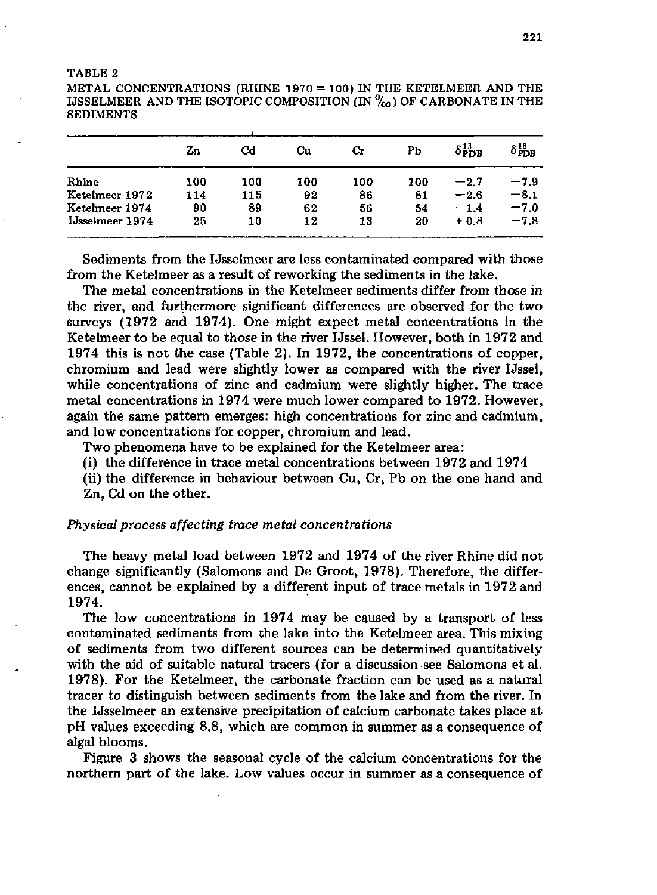#### TABLE 2

METAL CONCENTRATIONS (RHINE 1970 = 100) IN THE KETELMEER AND THE IJSSELMEER AND THE ISOTOPIC COMPOSITION (IN  $\%$ <sub>0</sub>) OF CARBONATE IN THE SEDIMENTS

|                 | Zn  | Cd  | Cu  | Сr  | Pb  | $\delta_{\text{PDB}}^{13}$ | $\delta^{18}_{\text{PDB}}$ |
|-----------------|-----|-----|-----|-----|-----|----------------------------|----------------------------|
| Rhine           | 100 | 100 | 100 | 100 | 100 | $-2.7$                     | $-7.9$                     |
| Ketelmeer 1972  | 114 | 115 | 92  | 86  | 81  | $-2.6$                     | $-8.1$                     |
| Ketelmeer 1974  | 90  | 89  | 62  | 56  | 54  | $-1.4$                     | $-7.0$                     |
| IJsselmeer 1974 | 25  | 10  | 12  | 13  | 20  | $+0.8$                     | $-7.8$                     |

Sediments from the IJsselmeer are less contaminated compared with those from the Ketelmeer as a result of reworking the sediments in the lake.

The metal concentrations in the Ketelmeer sediments differ from those in the river, and furthermore significant differences are observed for the two surveys (1972 and 1974). One might expect metal concentrations in the Ketelmeer to be equal to those in the river IJssel. However, both in 1972 and 1974 this is not the case (Table 2). In 1972, the concentrations of copper, chromium and lead were slightly lower as compared with the river IJssel, while concentrations of zinc and cadmium were slightly higher. The trace metal concentrations in 1974 were much lower compared to 1972. However, again the same pattern emerges: high concentrations for zinc and cadmium, and low concentrations for copper, chromium and lead.

Two phenomena have to be explained for the Ketelmeer area:

(i) the difference in trace metal concentrations between 1972 and 1974

(ii) the difference in behaviour between Cu, Cr, Pb on the one hand and Zn, Cd on the other.

## *Physical process affecting trace metal concentrations*

The heavy metal load between 1972 and 1974 of the river Rhine did not change significantly (Salomons and De Groot, 1978). Therefore, the differences, cannot be explained by a different input of trace metals in 1972 and 1974.

The low concentrations in 1974 may be caused by a transport of less contaminated sediments from the lake into the Ketelmeer area. This mixing of sediments from two different sources can be determined quantitatively with the aid of suitable natural tracers (for a discussion see Salomons et al. 1978). For the Ketelmeer, the carbonate fraction can be used as a natural tracer to distinguish between sediments from the lake and from the river. In the IJsselmeer an extensive precipitation of calcium carbonate takes place at pH values exceeding 8.8, which are common in summer as a consequence of algal blooms.

Figure 3 shows the seasonal cycle of the calcium concentrations for the northern part of the lake. Low values occur in summer as a consequence of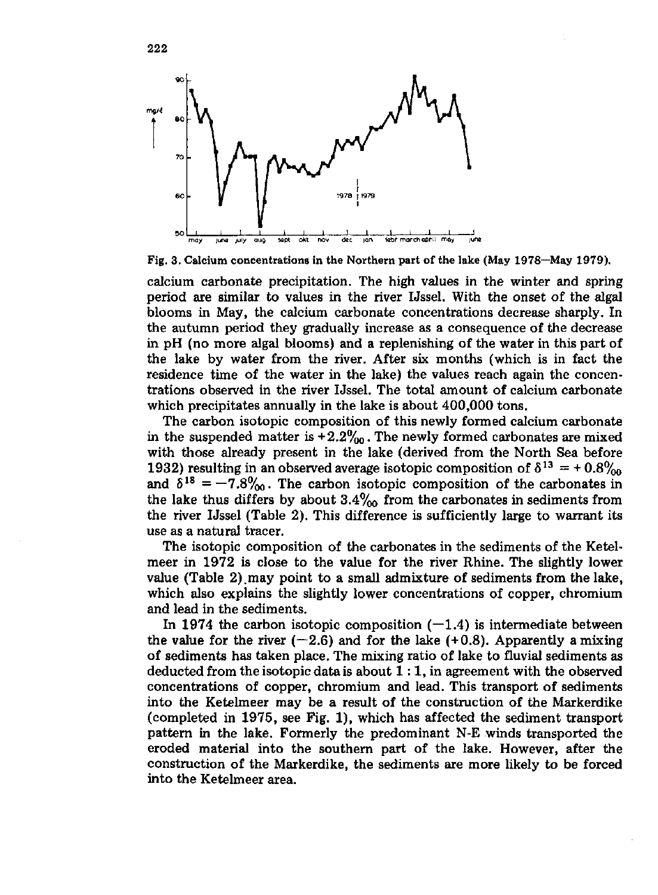

Fig. 3. Calcium concentrations in the Northern part of the lake (May 1978—May 1979).

calcium carbonate precipitation. The high values in the winter and spring period are similar to values in the river Ussel. With the onset of the algal blooms in May, the calcium carbonate concentrations decrease sharply. In the autumn period they gradually increase as a consequence of the decrease in pH (no more algal blooms) and a replenishing of the water in this part of the lake by water from the river. After six months (which is in fact the residence time of the water in the lake) the values reach again the concentrations observed in the river Ussel. The total amount of calcium carbonate which precipitates annually in the lake is about 400,000 tons.

The carbon isotopic composition of this newly formed calcium carbonate in the suspended matter is  $+2.2\%$ <sub>00</sub>. The newly formed carbonates are mixed with those already present in the lake (derived from the North Sea before 1932) resulting in an observed average isotopic composition of  $\delta^{13} = +$ and  $\delta^{18} = -7.8\%$ . The carbon isotopic composition of the carbonates the lake thus differs by about  $3.4\%$  from the carbonates in sediments from the river Ussel (Table 2). This difference is sufficiently large to warrant its use as a natural tracer.

The isotopic composition of the carbonates in the sediments of the Ketelmeer in 1972 is close to the value for the river Rhine. The slightly lower value (Table 2).may point to a small admixture of sediments from the lake, which also explains the slightly lower concentrations of copper, chromium and lead in the sediments.

In 1974 the carbon isotopic composition  $(-1.4)$  is intermediate between the value for the river  $(-2.6)$  and for the lake  $(+0.8)$ . Apparently a mixing of sediments has taken place. The mixing ratio of lake to fluvial sediments as deducted from the isotopic data is about  $1:1$ , in agreement with the observed concentrations of copper, chromium and lead. This transport of sediments into the Ketelmeer may be a result of the construction of the Markerdike (completed in 1975, see Fig. 1), which has affected the sediment transport pattern in the lake. Formerly the predominant N-E winds transported the eroded material into the southern part of the lake. However, after the construction of the Markerdike, the sediments are more likely to be forced into the Ketelmeer area.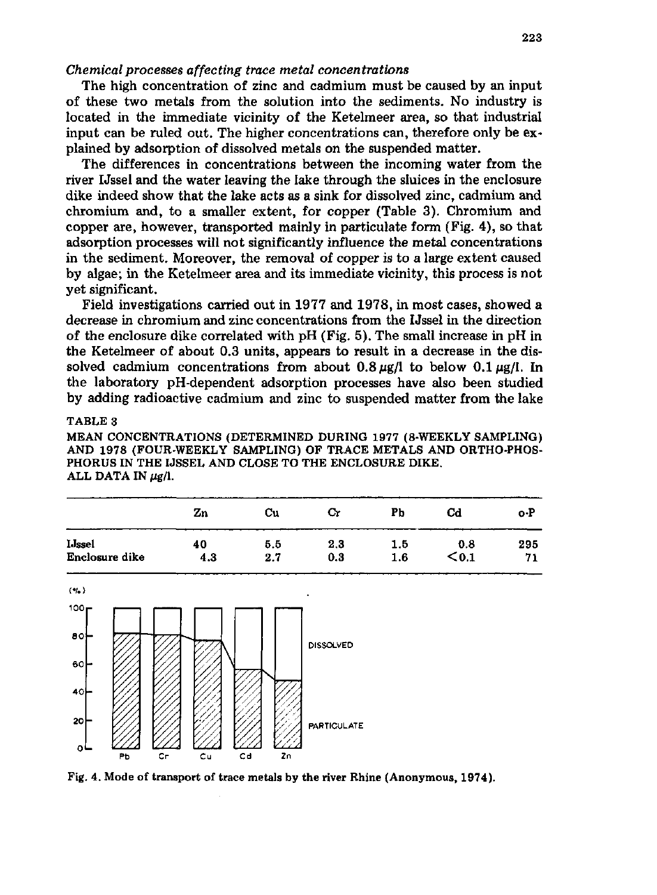### *Chemical processes affecting trace metal concentrations*

The high concentration of zinc and cadmium must be caused by an input of these two metals from the solution into the sediments. No industry is located in the immediate vicinity of the Ketelmeer area, so that industrial input can be ruled out. The higher concentrations can, therefore only be explained by adsorption of dissolved metals on the suspended matter.

The differences in concentrations between the incoming water from the river IJssel and the water leaving the lake through the sluices in the enclosure dike indeed show that the lake acts as a sink for dissolved zinc, cadmium and chromium and, to a smaller extent, for copper (Table 3). Chromium and copper are, however, transported mainly in particulate form (Fig. 4), so that adsorption processes will not significantly influence the metal concentrations in the sediment. Moreover, the removal of copper is to a large extent caused by algae; in the Ketelmeer area and its immediate vicinity, this process is not yet significant.

Field investigations carried out in 1977 and 1978, in most cases, showed a decrease in chromium and zinc concentrations from the IJssel in the direction of the enclosure dike correlated with pH (Fig. 5). The small increase in pH in the Ketelmeer of about 0.3 units, appears to result in a decrease in the dissolved cadmium concentrations from about  $0.8 \mu g/l$  to below  $0.1 \mu g/l$ . In the laboratory pH-dependent adsorption processes have also been studied by adding radioactive cadmium and zinc to suspended matter from the lake

## TABLE 3

MEAN CONCENTRATIONS (DETERMINED DURING 1977 (8-WEEKLY SAMPLING) AND 1978 (FOUR-WEEKLY SAMPLING) OF TRACE METALS AND ORTHO-PHOS-PHORUS IN THE IJSSEL AND CLOSE TO THE ENCLOSURE DIKE. ALL DATA IN  $\mu$ g/l.

|                | Zn  | Сu  | Сr  | PЬ  | Cd           | o-P |
|----------------|-----|-----|-----|-----|--------------|-----|
| <b>I</b> Jssel | 40  | 5.5 | 2.3 | 1.5 | 0.8          | 295 |
| Enclosure dike | 4.3 | 2.7 | 0.3 | 1.6 | $<$ 0.1 $\,$ | 71  |



Fig. 4. Mode of transport of trace metals by the river Rhine (Anonymous, 1974).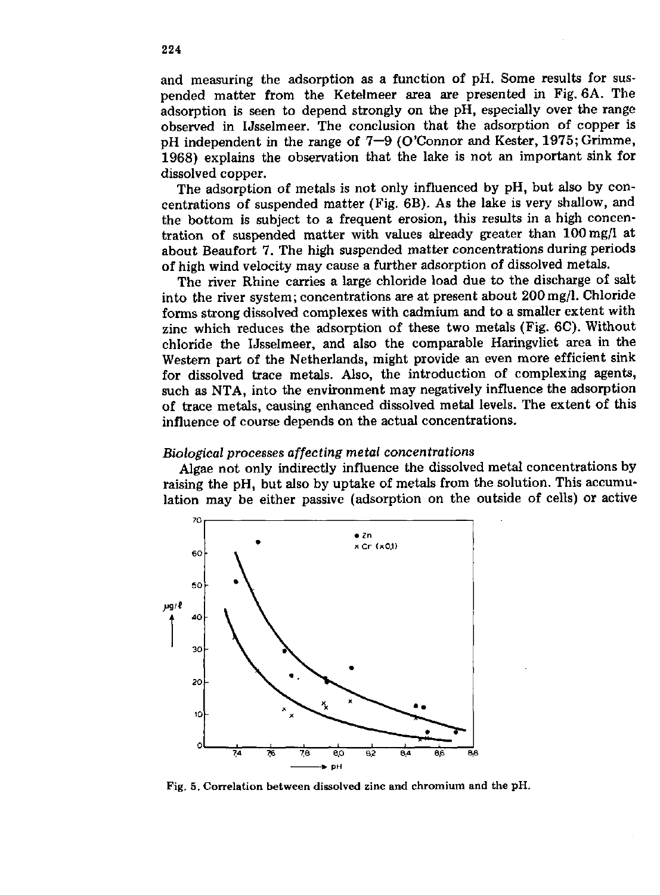and measuring the adsorption as a function of pH. Some results for suspended matter from the Ketelmeer area are presented in Fig. 6A. The adsorption is seen to depend strongly on the pH, especially over the range observed in IJsselmeer. The conclusion that the adsorption of copper is pH independent in the range of 7—9 (O'Connor and Kester, 1975; Grimme, 1968) explains the observation that the lake is not an important sink for dissolved copper.

The adsorption of metals is not only influenced by pH, but also by concentrations of suspended matter (Fig. 6B). As the lake is very shallow, and the bottom is subject to a frequent erosion, this results in a high concentration of suspended matter with values already greater than 100mg/l at about Beaufort 7. The high suspended matter concentrations during periods of high wind velocity may cause a further adsorption of dissolved metals.

The river Rhine carries a large chloride load due to the discharge of salt into the river system; concentrations are at present about 200mg/l. Chloride forms strong dissolved complexes with cadmium and to a smaller extent with zinc which reduces the adsorption of these two metals (Fig. 6C). Without chloride the IJsselmeer, and also the comparable Haringvliet area in the Western part of the Netherlands, might provide an even more efficient sink for dissolved trace metals. Also, the introduction of complexing agents, such as NTA, into the environment may negatively influence the adsorption of trace metals, causing enhanced dissolved metal levels. The extent of this influence of course depends on the actual concentrations.

## *Biological processes affecting metal concentrations*

Algae not only indirectly influence the dissolved metal concentrations by raising the pH, but also by uptake of metals from the solution. This accumulation may be either passive (adsorption on the outside of cells) or active



Fig. 5. Correlation between dissolved zinc and chromium and the pH.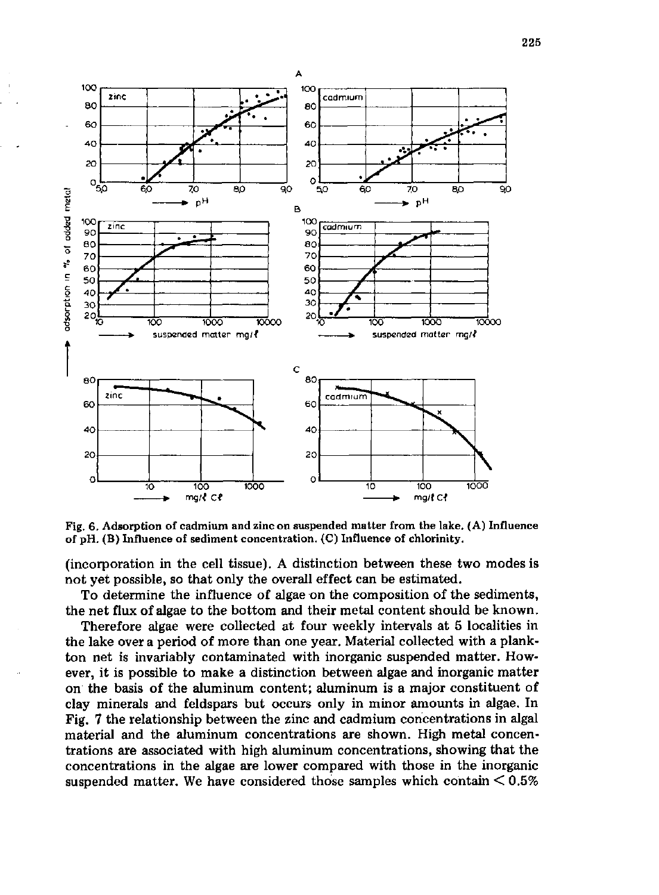

Fig. 6. Adsorption of cadmium and zinc on suspended matter from the lake. (A) Influence of pH. (B) Influence of sediment concentration. (C) Influence of chlorinity.

(incorporation in the cell tissue). A distinction between these two modes is not yet possible, so that only the overall effect can be estimated.

To determine the influence of algae on the composition of the sediments, the net flux of algae to the bottom and their metal content should be known.

Therefore algae were collected at four weekly intervals at 5 localities in the lake over a period of more than one year. Material collected with a plankton net is invariably contaminated with inorganic suspended matter. However, it is possible to make a distinction between algae and inorganic matter on the basis of the aluminum content; aluminum is a major constituent of clay minerals and feldspars but occurs only in minor amounts in algae. In Fig. 7 the relationship between the zinc and cadmium concentrations in algal material and the aluminum concentrations are shown. High metal concentrations are associated with high aluminum concentrations, showing that the concentrations in the algae are lower compared with those in the inorganic suspended matter. We have considered those samples which contain  $\leq 0.5\%$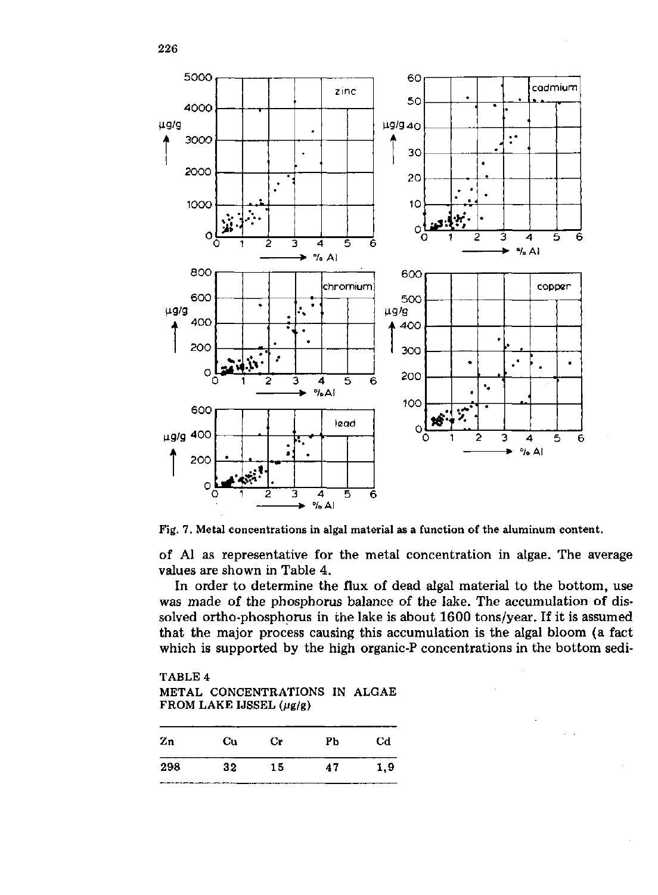

Fig. 7. Metal concentrations in algal material as a function of the aluminum content.

of Al as representative for the metal concentration in algae. The average values are shown in Table 4.

In order to determine the flux of dead algal material to the bottom, use was made of the phosphorus balance of the lake. The accumulation of dissolved ortho-phosphorus in the lake is about 1600 tons/year. If it is assumed that the major process causing this accumulation is the algal bloom (a fact which is supported by the high organic-P concentrations in the bottom sedi-

# TABLE 4 METAL CONCENTRATIONS IN ALGAE FROM LAKE IJSSEL  $(\mu g/g)$

| Zn  | Cu            | <b>Cr</b> | PЪ | Cd  |
|-----|---------------|-----------|----|-----|
| 298 | 32<br>------- | 15        | 47 | 1,9 |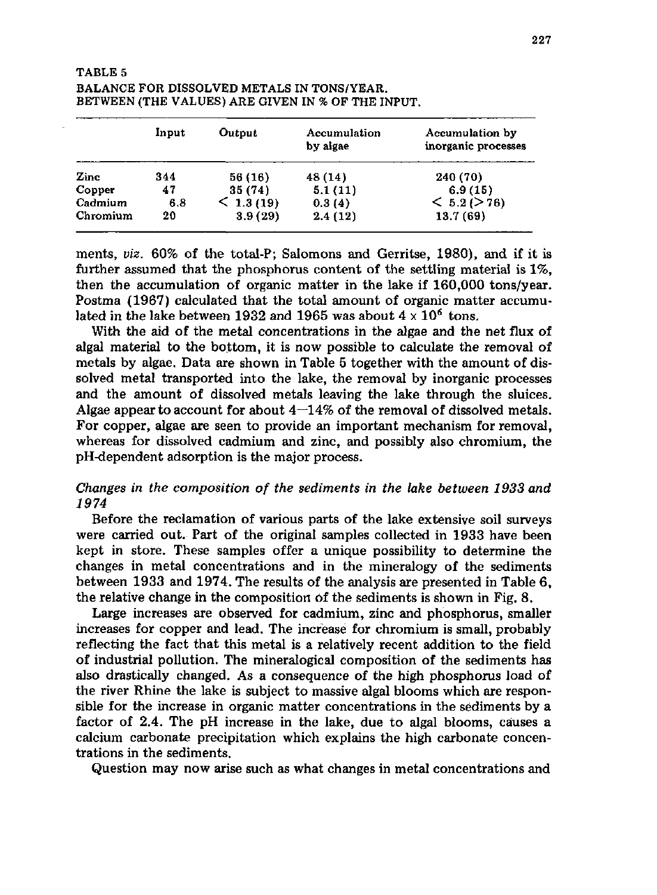## TABLE 5 BALANCE FOR DISSOLVED METALS IN TONS/YEAR. BETWEEN (THE VALUES) ARE GIVEN IN % OF THE INPUT.

|          | Input | Output       | Accumulation<br>by algae | Accumulation by<br>inorganic processes |
|----------|-------|--------------|--------------------------|----------------------------------------|
| Zinc     | 344   | 56 (16)      | 48 (14)                  | 240 (70)                               |
| Copper   | 47    | 35(74)       | 5.1(11)                  | 6.9(15)                                |
| Cadmium  | 6.8   | $<$ 1.3 (19) | 0.3(4)                   | < 5.2 (> 76)                           |
| Chromium | 20    | 3.9(29)      | 2.4(12)                  | 13.7(69)                               |

merits, *viz.* 60% of the total-P; Salomons and Gerritse, 1980), and if it is further assumed that the phosphorus content of the settling material is 1%, then the accumulation of organic matter in the lake if 160,000 tons/year. Postma (1967) calculated that the total amount of organic matter accumulated in the lake between 1932 and 1965 was about  $4 \times 10^6$ 

With the aid of the metal concentrations in the algae and the net flux of algal material to the bottom, it is now possible to calculate the removal of metals by algae. Data are shown in Table 5 together with the amount of dissolved metal transported into the lake, the removal by inorganic processes and the amount of dissolved metals leaving the lake through the sluices. Algae appear to account for about  $4-14\%$  of the removal of dissolved metals. For copper, algae are seen to provide an important mechanism for removal, whereas for dissolved cadmium and zinc, and possibly also chromium, the pH-dependent adsorption is the major process.

# *Changes in the composition of the sediments in the lake between 1933 and 1974*

Before the reclamation of various parts of the lake extensive soil surveys were carried out. Part of the original samples collected in 1933 have been kept in store. These samples offer a unique possibility to determine the changes in metal concentrations and in the mineralogy of the sediments between 1933 and 1974. The results of the analysis are presented in Table 6, the relative change in the composition öf the sediments is shown in Fig. 8.

Large increases are observed for cadmium, zinc and phosphorus, smaller increases for copper and lead. The increase for chromium is small, probably reflecting the fact that this metal is a relatively recent addition to the field of industrial pollution. The mineralogical composition of the sediments has also drastically changed. As a consequence of the high phosphorus load of the river Rhine the lake is subject to massive algal blooms which are responsible for the increase in organic matter concentrations in the sediments by a factor of 2.4. The pH increase in the lake, due to algal blooms, causes a calcium carbonate precipitation which explains the high carbonate concentrations in the sediments.

Question may now arise such as what changes in metal concentrations and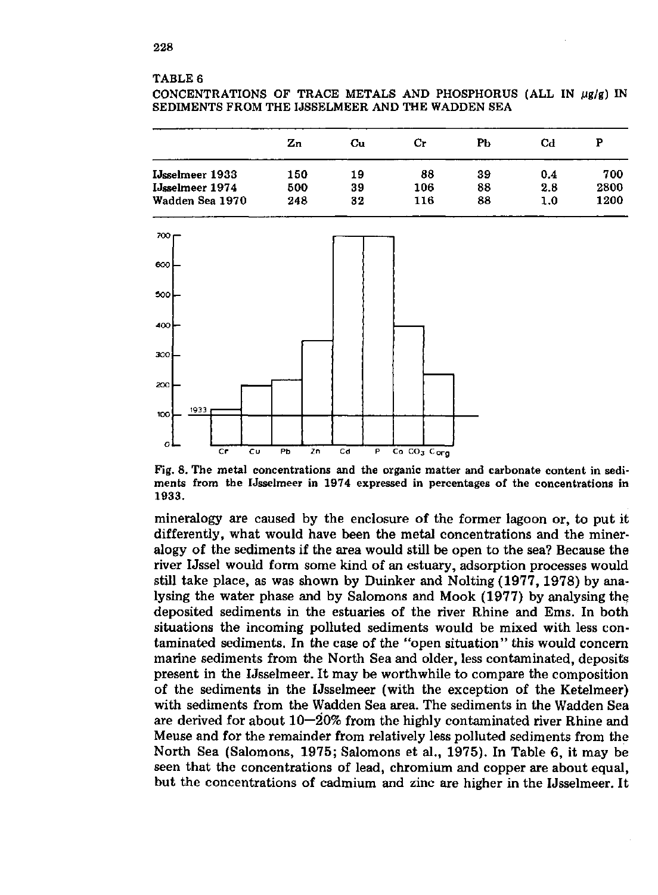#### TABLE 6

CONCENTRATIONS OF TRACE METALS AND PHOSPHORUS (ALL IN  $\mu$ g/g) IN SEDIMENTS FROM THE IJSSELMEER AND THE WADDEN SEA

|                        | Zn  | Cu | Cr  | Pb | Cd  | P    |
|------------------------|-----|----|-----|----|-----|------|
| <b>IJsselmeer 1933</b> | 150 | 19 | 88  | 39 | 0.4 | 700  |
| <b>IJsselmeer 1974</b> | 500 | 39 | 106 | 88 | 2.8 | 2800 |
| Wadden Sea 1970        | 248 | 32 | 116 | 88 | 1.0 | 1200 |



Fig. 8. The metal concentrations and the organic matter and carbonate content in sediments from the IJsselmeer in 1974 expressed in percentages of the concentrations in 1933.

mineralogy are caused by the enclosure of the former lagoon or, to put it differently, what would have been the metal concentrations and the mineralogy of the sediments if the area would still be open to the sea? Because the river IJssel would form some kind of an estuary, adsorption processes would still take place, as was shown by Duinker and Nolting (1977, 1978) by analysing the water phase and by Salomons and Mook (1977) by analysing the deposited sediments in the estuaries of the river Rhine and Ems. In both situations the incoming polluted sediments would be mixed with less contaminated sediments. In the case of the "open situation" this would concern marine sediments from the North Sea and older, less contaminated, deposits present in the IJsselmeer. It may be worthwhile to compare the composition of the sediments in the IJsselmeer (with the exception of the Ketelmeer) with sediments from the Wadden Sea area. The sediments in the Wadden Sea are derived for about  $10-20\%$  from the highly contaminated river Rhine and Meuse and for the remainder from relatively less polluted sediments from the North Sea (Salomons, 1975; Salomons et al., 1975). In Table 6, it may be seen that the concentrations of lead, chromium and copper are about equal, but the concentrations of cadmium and zinc are higher in the IJsselmeer. It